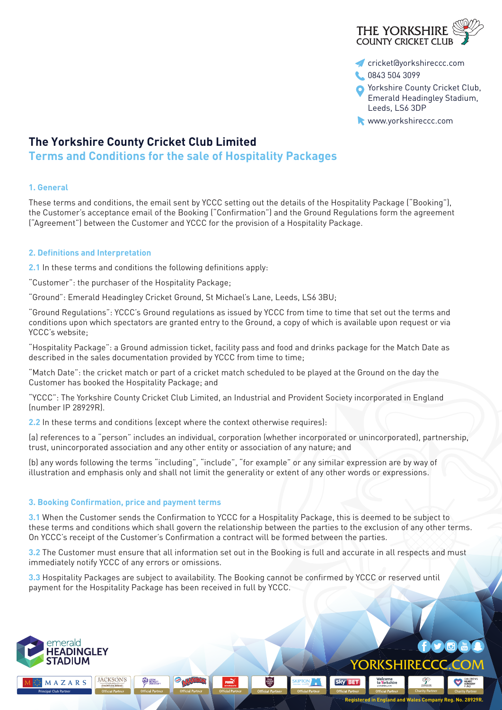

- cricket@yorkshireccc.com
- 0843 504 3099
- **O** Yorkshire County Cricket Club, Emerald Headingley Stadium, Leeds, LS6 3DP
- www.yorkshireccc.com

# **The Yorkshire County Cricket Club Limited**

**Terms and Conditions for the sale of Hospitality Packages**

# **1. General**

These terms and conditions, the email sent by YCCC setting out the details of the Hospitality Package ("Booking"), the Customer's acceptance email of the Booking ("Confirmation") and the Ground Regulations form the agreement ("Agreement") between the Customer and YCCC for the provision of a Hospitality Package.

# **2. Definitions and Interpretation**

**2.1** In these terms and conditions the following definitions apply:

"Customer": the purchaser of the Hospitality Package;

"Ground": Emerald Headingley Cricket Ground, St Michael's Lane, Leeds, LS6 3BU;

"Ground Regulations": YCCC's Ground regulations as issued by YCCC from time to time that set out the terms and conditions upon which spectators are granted entry to the Ground, a copy of which is available upon request or via YCCC's website;

"Hospitality Package": a Ground admission ticket, facility pass and food and drinks package for the Match Date as described in the sales documentation provided by YCCC from time to time;

"Match Date": the cricket match or part of a cricket match scheduled to be played at the Ground on the day the Customer has booked the Hospitality Package; and

"YCCC": The Yorkshire County Cricket Club Limited, an Industrial and Provident Society incorporated in England (number IP 28929R).

**2.2** In these terms and conditions (except where the context otherwise requires):

(a) references to a "person" includes an individual, corporation (whether incorporated or unincorporated), partnership, trust, unincorporated association and any other entity or association of any nature; and

(b) any words following the terms "including", "include", "for example" or any similar expression are by way of illustration and emphasis only and shall not limit the generality or extent of any other words or expressions.

## **3. Booking Confirmation, price and payment terms**

**JACKSON'S** 

**O** MEDS

**3.1** When the Customer sends the Confirmation to YCCC for a Hospitality Package, this is deemed to be subject to these terms and conditions which shall govern the relationship between the parties to the exclusion of any other terms. On YCCC's receipt of the Customer's Confirmation a contract will be formed between the parties.

**3.2** The Customer must ensure that all information set out in the Booking is full and accurate in all respects and must immediately notify YCCC of any errors or omissions.

 $\frac{\text{THE}}{\text{Higgs}}$ 

**3.3** Hospitality Packages are subject to availability. The Booking cannot be confirmed by YCCC or reserved until payment for the Hospitality Package has been received in full by YCCC.

**PUMA** 



MAZARS

**SOFT** 

**Registered in England and Wales Company Reg. No. 28929R.**

YORKSHIRECCC.C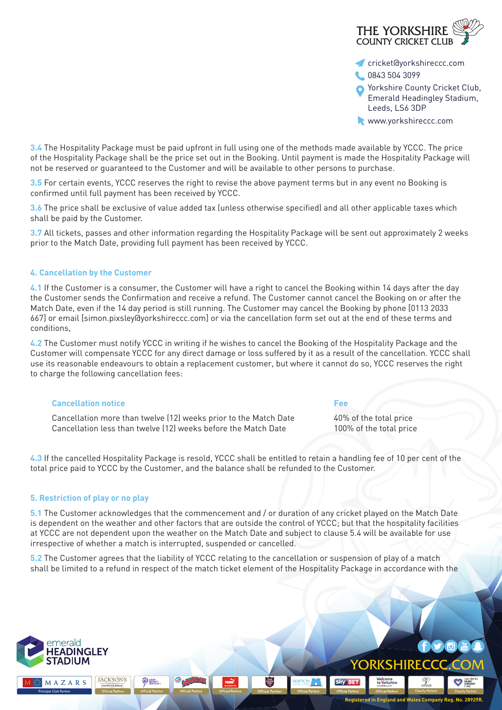

- cricket@yorkshireccc.com
- 0843 504 3099
- **O** Yorkshire County Cricket Club, Emerald Headingley Stadium, Leeds, LS6 3DP
- www.yorkshireccc.com

**3.4** The Hospitality Package must be paid upfront in full using one of the methods made available by YCCC. The price of the Hospitality Package shall be the price set out in the Booking. Until payment is made the Hospitality Package will not be reserved or guaranteed to the Customer and will be available to other persons to purchase.

**3.5** For certain events, YCCC reserves the right to revise the above payment terms but in any event no Booking is confirmed until full payment has been received by YCCC.

**3.6** The price shall be exclusive of value added tax (unless otherwise specified) and all other applicable taxes which shall be paid by the Customer.

**3.7** All tickets, passes and other information regarding the Hospitality Package will be sent out approximately 2 weeks prior to the Match Date, providing full payment has been received by YCCC.

## **4. Cancellation by the Customer**

**4.1** If the Customer is a consumer, the Customer will have a right to cancel the Booking within 14 days after the day the Customer sends the Confirmation and receive a refund. The Customer cannot cancel the Booking on or after the Match Date, even if the 14 day period is still running. The Customer may cancel the Booking by phone [0113 2033 667] or email [simon.pixsley@yorkshireccc.com] or via the cancellation form set out at the end of these terms and conditions,

**4.2** The Customer must notify YCCC in writing if he wishes to cancel the Booking of the Hospitality Package and the Customer will compensate YCCC for any direct damage or loss suffered by it as a result of the cancellation. YCCC shall use its reasonable endeavours to obtain a replacement customer, but where it cannot do so, YCCC reserves the right to charge the following cancellation fees:

### **Cancellation notice Fee**

Cancellation more than twelve (12) weeks prior to the Match Date 40% of the total price Cancellation less than twelve (12) weeks before the Match Date 100% of the total price

**Sky BET** 

YORKSHIRE

YORKSHIRECCC.CO

Welcome<br>to <mark>Y</mark>orkshire

**Registered in England and Wales Company Reg. No. 28929R.**

**Charity Partner**

 $G \times G$ 

**4.3** If the cancelled Hospitality Package is resold, YCCC shall be entitled to retain a handling fee of 10 per cent of the total price paid to YCCC by the Customer, and the balance shall be refunded to the Customer.

### **5. Restriction of play or no play**

**5.1** The Customer acknowledges that the commencement and / or duration of any cricket played on the Match Date is dependent on the weather and other factors that are outside the control of YCCC; but that the hospitality facilities at YCCC are not dependent upon the weather on the Match Date and subject to clause 5.4 will be available for use irrespective of whether a match is interrupted, suspended or cancelled.

**5.2** The Customer agrees that the liability of YCCC relating to the cancellation or suspension of play of a match shall be limited to a refund in respect of the match ticket element of the Hospitality Package in accordance with the

**Principal Club Partner Charity Partner Charity Partner Charity Partner Charity Partner Charity Partner Charity Partner Charity Partner** 

**PUMA** 

 $\frac{\text{THE}}{\text{HilRE}}$ 



MAZARS

**JACKSON'S** 

**O LEIDS**<br>**BECKETT**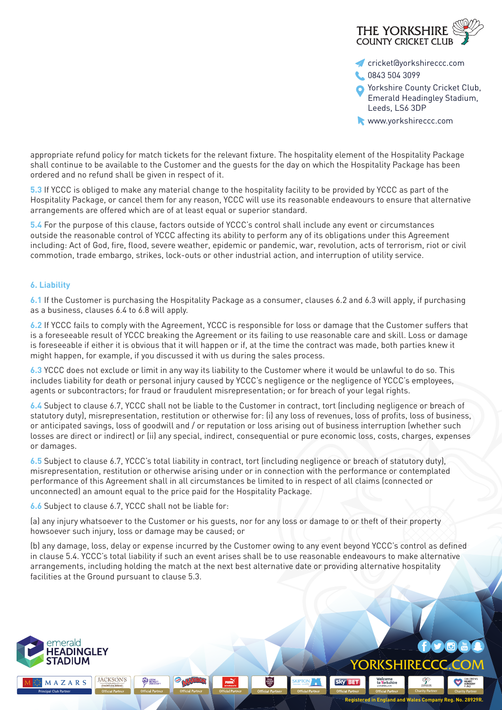

- cricket@yorkshireccc.com
- 0843 504 3099
- **O** Yorkshire County Cricket Club, Emerald Headingley Stadium, Leeds, LS6 3DP
- www.yorkshireccc.com

appropriate refund policy for match tickets for the relevant fixture. The hospitality element of the Hospitality Package shall continue to be available to the Customer and the guests for the day on which the Hospitality Package has been ordered and no refund shall be given in respect of it.

**5.3** If YCCC is obliged to make any material change to the hospitality facility to be provided by YCCC as part of the Hospitality Package, or cancel them for any reason, YCCC will use its reasonable endeavours to ensure that alternative arrangements are offered which are of at least equal or superior standard.

**5.4** For the purpose of this clause, factors outside of YCCC's control shall include any event or circumstances outside the reasonable control of YCCC affecting its ability to perform any of its obligations under this Agreement including: Act of God, fire, flood, severe weather, epidemic or pandemic, war, revolution, acts of terrorism, riot or civil commotion, trade embargo, strikes, lock-outs or other industrial action, and interruption of utility service.

## **6. Liability**

**6.1** If the Customer is purchasing the Hospitality Package as a consumer, clauses 6.2 and 6.3 will apply, if purchasing as a business, clauses 6.4 to 6.8 will apply.

**6.2** If YCCC fails to comply with the Agreement, YCCC is responsible for loss or damage that the Customer suffers that is a foreseeable result of YCCC breaking the Agreement or its failing to use reasonable care and skill. Loss or damage is foreseeable if either it is obvious that it will happen or if, at the time the contract was made, both parties knew it might happen, for example, if you discussed it with us during the sales process.

**6.3** YCCC does not exclude or limit in any way its liability to the Customer where it would be unlawful to do so. This includes liability for death or personal injury caused by YCCC's negligence or the negligence of YCCC's employees, agents or subcontractors; for fraud or fraudulent misrepresentation; or for breach of your legal rights.

**6.4** Subject to clause 6.7, YCCC shall not be liable to the Customer in contract, tort (including negligence or breach of statutory duty), misrepresentation, restitution or otherwise for: (i) any loss of revenues, loss of profits, loss of business, or anticipated savings, loss of goodwill and / or reputation or loss arising out of business interruption (whether such losses are direct or indirect) or (ii) any special, indirect, consequential or pure economic loss, costs, charges, expenses or damages.

**6.5** Subject to clause 6.7, YCCC's total liability in contract, tort (including negligence or breach of statutory duty), misrepresentation, restitution or otherwise arising under or in connection with the performance or contemplated performance of this Agreement shall in all circumstances be limited to in respect of all claims (connected or unconnected) an amount equal to the price paid for the Hospitality Package.

**6.6** Subject to clause 6.7, YCCC shall not be liable for:

**JACKSON'S** 

**O LEIDS**<br>**BECKETT** 

(a) any injury whatsoever to the Customer or his guests, nor for any loss or damage to or theft of their property howsoever such injury, loss or damage may be caused; or

**PUMA** 

(b) any damage, loss, delay or expense incurred by the Customer owing to any event beyond YCCC's control as defined in clause 5.4. YCCC's total liability if such an event arises shall be to use reasonable endeavours to make alternative arrangements, including holding the match at the next best alternative date or providing alternative hospitality facilities at the Ground pursuant to clause 5.3.

 $\frac{\text{THE}}{\text{Higgs}}$ 



MAZARS

**Sky BET** Welcome<br>to <mark>Y</mark>orkshire YORKSHIRE **Principal Club Partner Charity Partner Charity Partner Charity Partner Charity Partner Charity Partner Charity Partner Charity Partner Charity Partner Registered in England and Wales Company Reg. No. 28929R.**

YORKSHIRECCC.C

 $\blacksquare$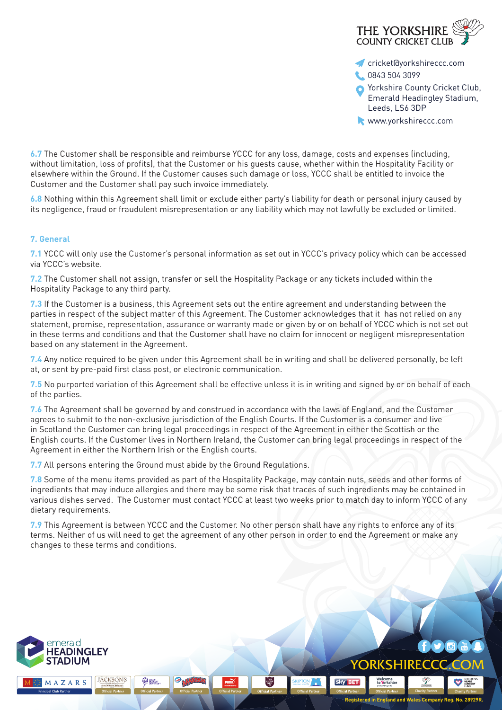

- cricket@yorkshireccc.com
- 0843 504 3099
- **O** Yorkshire County Cricket Club, Emerald Headingley Stadium, Leeds, LS6 3DP
- www.yorkshireccc.com

**6.7** The Customer shall be responsible and reimburse YCCC for any loss, damage, costs and expenses (including, without limitation, loss of profits), that the Customer or his guests cause, whether within the Hospitality Facility or elsewhere within the Ground. If the Customer causes such damage or loss, YCCC shall be entitled to invoice the Customer and the Customer shall pay such invoice immediately.

**6.8** Nothing within this Agreement shall limit or exclude either party's liability for death or personal injury caused by its negligence, fraud or fraudulent misrepresentation or any liability which may not lawfully be excluded or limited.

## **7. General**

**7.1** YCCC will only use the Customer's personal information as set out in YCCC's privacy policy which can be accessed via YCCC's website.

**7.2** The Customer shall not assign, transfer or sell the Hospitality Package or any tickets included within the Hospitality Package to any third party.

**7.3** If the Customer is a business, this Agreement sets out the entire agreement and understanding between the parties in respect of the subject matter of this Agreement. The Customer acknowledges that it has not relied on any statement, promise, representation, assurance or warranty made or given by or on behalf of YCCC which is not set out in these terms and conditions and that the Customer shall have no claim for innocent or negligent misrepresentation based on any statement in the Agreement.

**7.4** Any notice required to be given under this Agreement shall be in writing and shall be delivered personally, be left at, or sent by pre-paid first class post, or electronic communication.

**7.5** No purported variation of this Agreement shall be effective unless it is in writing and signed by or on behalf of each of the parties.

**7.6** The Agreement shall be governed by and construed in accordance with the laws of England, and the Customer agrees to submit to the non-exclusive jurisdiction of the English Courts. If the Customer is a consumer and live in Scotland the Customer can bring legal proceedings in respect of the Agreement in either the Scottish or the English courts. If the Customer lives in Northern Ireland, the Customer can bring legal proceedings in respect of the Agreement in either the Northern Irish or the English courts.

**7.7** All persons entering the Ground must abide by the Ground Regulations.

**7.8** Some of the menu items provided as part of the Hospitality Package, may contain nuts, seeds and other forms of ingredients that may induce allergies and there may be some risk that traces of such ingredients may be contained in various dishes served. The Customer must contact YCCC at least two weeks prior to match day to inform YCCC of any dietary requirements.

**7.9** This Agreement is between YCCC and the Customer. No other person shall have any rights to enforce any of its terms. Neither of us will need to get the agreement of any other person in order to end the Agreement or make any changes to these terms and conditions.

 $\frac{\text{THE}}{\text{HilRE}}$ 

**PUMA** 



MAZARS

**JACKSON'S** 

**O LEIDS**<br>**BECKETT** 

**Sky BET** Welcome<br>to <mark>Y</mark>orkshire YORKSHIRE **Principal Club Partner Charity Partner Charity Partner Charity Partner Charity Partner Charity Partner Charity Partner Charity Partner Charity Partner Registered in England and Wales Company Reg. No. 28929R.**

YORKSHIRECCC.C

 $\blacksquare$